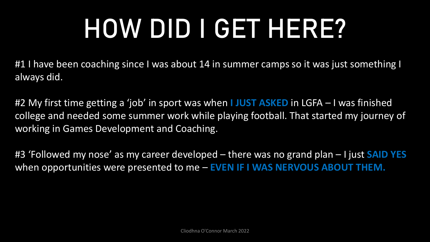# **HOW DID I GET HERE?**

#1 I have been coaching since I was about 14 in summer camps so it was just something I always did.

#2 My first time getting a 'job' in sport was when **I JUST ASKED** in LGFA – I was finished college and needed some summer work while playing football. That started my journey of working in Games Development and Coaching.

#3 'Followed my nose' as my career developed – there was no grand plan – I just **SAID YES**  when opportunities were presented to me – **EVEN IF I WAS NERVOUS ABOUT THEM.**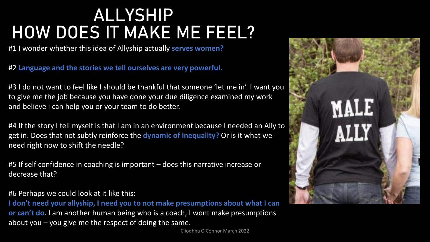### **ALLYSHIP HOW DOES IT MAKE ME FEEL?**

#1 I wonder whether this idea of Allyship actually **serves women?**

#2 **Language and the stories we tell ourselves are very powerful.**

#3 I do not want to feel like I should be thankful that someone 'let me in'. I want you to give me the job because you have done your due diligence examined my work and believe I can help you or your team to do better.

#4 If the story I tell myself is that I am in an environment because I needed an Ally to get in. Does that not subtly reinforce the **dynamic of inequality?** Or is it what we need right now to shift the needle?

#5 If self confidence in coaching is important – does this narrative increase or decrease that?

#### #6 Perhaps we could look at it like this:

**I don't need your allyship, I need you to not make presumptions about what I can or can't do**. I am another human being who is a coach, I wont make presumptions about you – you give me the respect of doing the same.

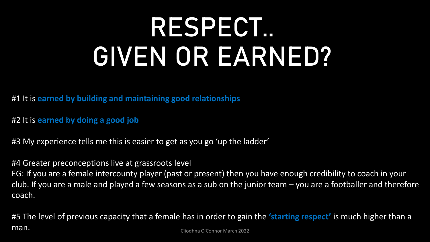## **RESPECT.. GIVEN OR EARNED?**

#1 It is **earned by building and maintaining good relationships**

#2 It is **earned by doing a good job**

#3 My experience tells me this is easier to get as you go 'up the ladder'

#4 Greater preconceptions live at grassroots level

EG: If you are a female intercounty player (past or present) then you have enough credibility to coach in your club. If you are a male and played a few seasons as a sub on the junior team – you are a footballer and therefore coach.

#5 The level of previous capacity that a female has in order to gain the **'starting respect'** is much higher than a man. Cliodhna O'Connor March 2022